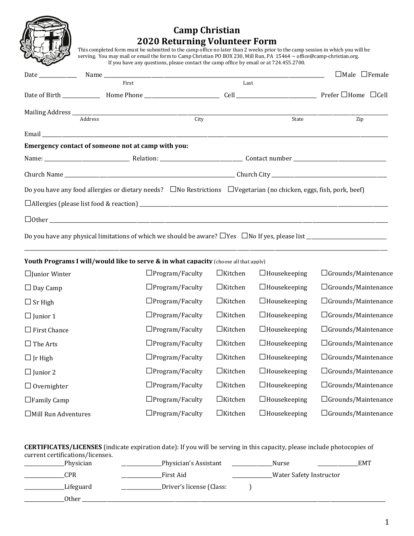

# **Camp Christian 2020 Returning Volunteer Form**

THE LASSET This completed form must be submitted to the camp office no later than 2 weeks prior to the camp session in which you will be serving. You may mail or email the form to Camp Christian PO BOX 230, Mill Run, PA 15464 [~ office@camp-christian.org.](mailto:office@camp-christian.org)  If you have any questions, please contact the camp office by email or at 724.455.2700.

|                                                                                                                                |      |       | $\Box$ Male $\Box$ Female |  |
|--------------------------------------------------------------------------------------------------------------------------------|------|-------|---------------------------|--|
| First                                                                                                                          | Last |       |                           |  |
|                                                                                                                                |      |       |                           |  |
|                                                                                                                                |      |       |                           |  |
|                                                                                                                                |      | State | Zip                       |  |
|                                                                                                                                |      |       |                           |  |
| Emergency contact of someone not at camp with you:                                                                             |      |       |                           |  |
|                                                                                                                                |      |       |                           |  |
|                                                                                                                                |      |       |                           |  |
| Do you have any food allergies or dietary needs? $\Box$ No Restrictions $\Box$ Vegetarian (no chicken, eggs, fish, pork, beef) |      |       |                           |  |
|                                                                                                                                |      |       |                           |  |
|                                                                                                                                |      |       |                           |  |
|                                                                                                                                |      |       |                           |  |

\_\_\_\_\_\_\_\_\_\_\_\_\_\_\_\_\_\_\_\_\_\_\_\_\_\_\_\_\_\_\_\_\_\_\_\_\_\_\_\_\_\_\_\_\_\_\_\_\_\_\_\_\_\_\_\_\_\_\_\_\_\_\_\_\_\_\_\_\_\_\_\_\_\_\_\_\_\_\_\_\_\_\_\_\_\_\_\_\_\_\_\_\_\_\_\_\_\_\_\_\_\_\_\_\_\_\_\_\_\_\_\_\_\_\_\_\_\_\_\_\_\_\_\_\_\_\_\_\_\_\_\_\_\_\_\_\_\_\_\_\_\_\_\_\_

## **Youth Programs I will/would like to serve & in what capacity** (choose all that apply)

| $\Box$ Junior Winter       | $\Box$ Program/Faculty | $\Box$ Kitchen | $\Box$ Housekeeping | $\Box$ Grounds/Maintenance |
|----------------------------|------------------------|----------------|---------------------|----------------------------|
| $\Box$ Day Camp            | $\Box$ Program/Faculty | $\Box$ Kitchen | $\Box$ Housekeeping | $\Box$ Grounds/Maintenance |
| $\Box$ Sr High             | $\Box$ Program/Faculty | $\Box$ Kitchen | $\Box$ Housekeeping | $\Box$ Grounds/Maintenance |
| $\Box$ Junior 1            | $\Box$ Program/Faculty | $\Box$ Kitchen | $\Box$ Housekeeping | $\Box$ Grounds/Maintenance |
| $\Box$ First Chance        | $\Box$ Program/Faculty | $\Box$ Kitchen | $\Box$ Housekeeping | $\Box$ Grounds/Maintenance |
| $\Box$ The Arts            | $\Box$ Program/Faculty | $\Box$ Kitchen | $\Box$ Housekeeping | $\Box$ Grounds/Maintenance |
| $\Box$ Jr High             | $\Box$ Program/Faculty | $\Box$ Kitchen | $\Box$ Housekeeping | $\Box$ Grounds/Maintenance |
| $\Box$ Junior 2            | $\Box$ Program/Faculty | $\Box$ Kitchen | $\Box$ Housekeeping | $\Box$ Grounds/Maintenance |
| $\Box$ Overnighter         | $\Box$ Program/Faculty | $\Box$ Kitchen | $\Box$ Housekeeping | $\Box$ Grounds/Maintenance |
| $\Box$ Family Camp         | $\Box$ Program/Faculty | $\Box$ Kitchen | $\Box$ Housekeeping | $\Box$ Grounds/Maintenance |
| $\Box$ Mill Run Adventures | $\Box$ Program/Faculty | $\Box$ Kitchen | $\Box$ Housekeeping | $\Box$ Grounds/Maintenance |

#### **CERTIFICATES/LICENSES** (indicate expiration date): If you will be serving in this capacity, please include photocopies of current certifications/licenses.

| Physician | Physician's Assistant    | Nurse                    | <b>EMT</b> |
|-----------|--------------------------|--------------------------|------------|
| ∵PR.      | First Aid                | Water Safety Instructor_ |            |
| Lifeguard | Driver's license (Class: |                          |            |
| Other     |                          |                          |            |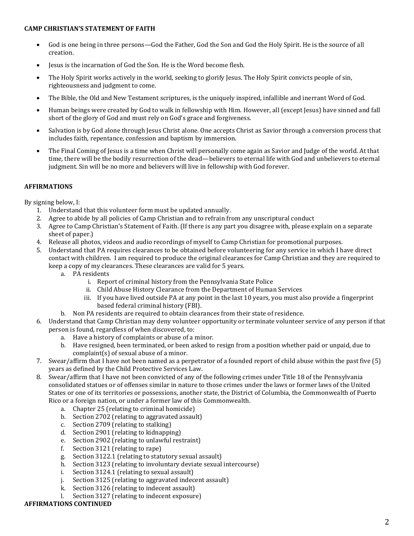#### **CAMP CHRISTIAN'S STATEMENT OF FAITH**

- God is one being in three persons—God the Father, God the Son and God the Holy Spirit. He is the source of all creation.
- Jesus is the incarnation of God the Son. He is the Word become flesh.
- The Holy Spirit works actively in the world, seeking to glorify Jesus. The Holy Spirit convicts people of sin, righteousness and judgment to come.
- The Bible, the Old and New Testament scriptures, is the uniquely inspired, infallible and inerrant Word of God.
- Human beings were created by God to walk in fellowship with Him. However, all (except Jesus) have sinned and fall short of the glory of God and must rely on God's grace and forgiveness.
- Salvation is by God alone through Jesus Christ alone. One accepts Christ as Savior through a conversion process that includes faith, repentance, confession and baptism by immersion.
- The Final Coming of Jesus is a time when Christ will personally come again as Savior and Judge of the world. At that time, there will be the bodily resurrection of the dead—believers to eternal life with God and unbelievers to eternal judgment. Sin will be no more and believers will live in fellowship with God forever.

## **AFFIRMATIONS**

By signing below, I:

- 1. Understand that this volunteer form must be updated annually.
- 2. Agree to abide by all policies of Camp Christian and to refrain from any unscriptural conduct
- 3. Agree to Camp Christian's Statement of Faith. (If there is any part you disagree with, please explain on a separate sheet of paper.)
- 4. Release all photos, videos and audio recordings of myself to Camp Christian for promotional purposes.
- 5. Understand that PA requires clearances to be obtained before volunteering for any service in which I have direct contact with children. I am required to produce the original clearances for Camp Christian and they are required to keep a copy of my clearances. These clearances are valid for 5 years.
	- a. PA residents
		- i. Report of criminal history from the Pennsylvania State Police
		- ii. Child Abuse History Clearance from the Department of Human Services
		- iii. If you have lived outside PA at any point in the last 10 years, you must also provide a fingerprint based federal criminal history (FBI).
	- b. Non PA residents are required to obtain clearances from their state of residence.
- 6. Understand that Camp Christian may deny volunteer opportunity or terminate volunteer service of any person if that person is found, regardless of when discovered, to:
	- a. Have a history of complaints or abuse of a minor.
	- b. Have resigned, been terminated, or been asked to resign from a position whether paid or unpaid, due to complaint(s) of sexual abuse of a minor.
- 7. Swear/affirm that I have not been named as a perpetrator of a founded report of child abuse within the past five (5) years as defined by the Child Protective Services Law.
- 8. Swear/affirm that I have not been convicted of any of the following crimes under Title 18 of the Pennsylvania consolidated statues or of offenses similar in nature to those crimes under the laws or former laws of the United States or one of its territories or possessions, another state, the District of Columbia, the Commonwealth of Puerto Rico or a foreign nation, or under a former law of this Commonwealth.
	- a. Chapter 25 (relating to criminal homicide)
	- b. Section 2702 (relating to aggravated assault)
	- c. Section 2709 (relating to stalking)
	- d. Section 2901 (relating to kidnapping)
	- e. Section 2902 (relating to unlawful restraint)
	- f. Section 3121 (relating to rape)
	- g. Section 3122.1 (relating to statutory sexual assault)
	- h. Section 3123 (relating to involuntary deviate sexual intercourse)
	- i. Section 3124.1 (relating to sexual assault)
	- j. Section 3125 (relating to aggravated indecent assault)
	- k. Section 3126 (relating to indecent assault)
	- l. Section 3127 (relating to indecent exposure)

### **AFFIRMATIONS CONTINUED**